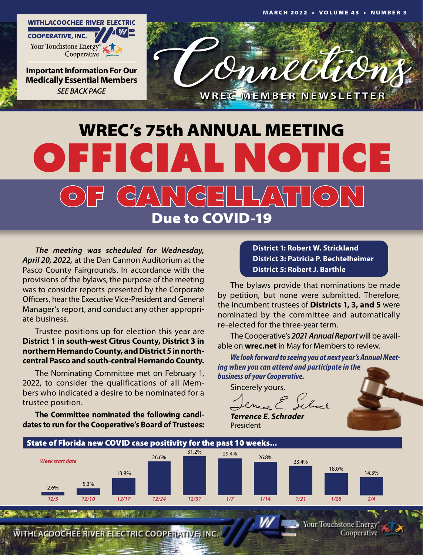

**Important Information For Our Medically Essential Members** *SEE BACK PAGE*



# WREC's 75th ANNUAL MEETING OFFICIAL NOTICE ╡└╷┌╲╷╷  $\overline{d}$  $\circ$  $\bigcirc$ Due to COVID-19

*The meeting was scheduled for Wednesday, April 20, 2022,* at the Dan Cannon Auditorium at the Pasco County Fairgrounds. In accordance with the provisions of the bylaws, the purpose of the meeting was to consider reports presented by the Corporate Officers, hear the Executive Vice-President and General Manager's report, and conduct any other appropriate business.

Trustee positions up for election this year are **District 1 in south-west Citrus County, District 3 in northern Hernando County, and District 5 in northcentral Pasco and south-central Hernando County.**

The Nominating Committee met on February 1, 2022, to consider the qualifications of all Members who indicated a desire to be nominated for a trustee position.

**The Committee nominated the following candidates to run for the Cooperative's Board of Trustees:**

**District 1: Robert W. Strickland District 3: Patricia P. Bechtelheimer District 5: Robert J. Barthle**

The bylaws provide that nominations be made by petition, but none were submitted. Therefore, the incumbent trustees of **Districts 1, 3, and 5** were nominated by the committee and automatically re-elected for the three-year term.

The Cooperative's *2021 Annual Report* will be available on **wrec.net** in May for Members to review.

*We look forward to seeing you at next year's Annual Meeting when you can attend and participate in the business of your Cooperative.*

Sincerely yours,

*Terrence E. Schrader* President



WITHLACOOCHEE RIVER ELECTRIC COOPERATIVE, INC.

Your Touchstone Energy Cooperative